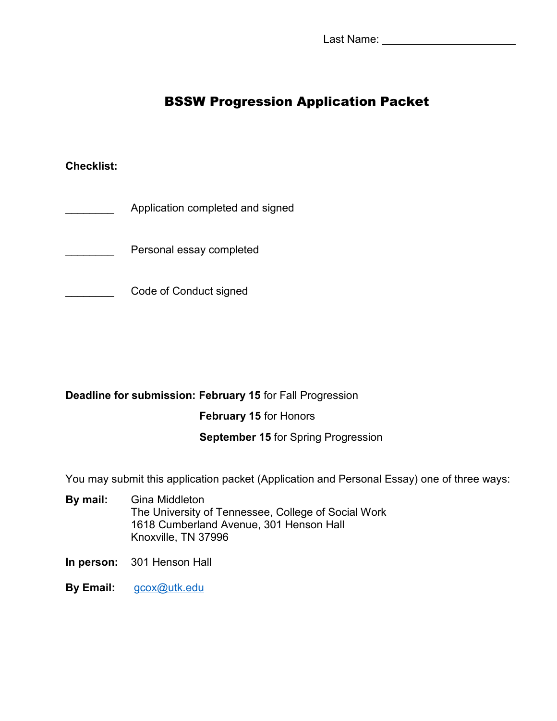Last Name: \_\_\_\_\_\_\_\_\_\_\_

# BSSW Progression Application Packet

### **Checklist:**

- Application completed and signed
- Personal essay completed
- **EXAMPLE Code of Conduct signed**

### **Deadline for submission: February 15** for Fall Progression

### **February 15** for Honors

### **September 15** for Spring Progression

You may submit this application packet (Application and Personal Essay) one of three ways:

- **By mail:** Gina Middleton The University of Tennessee, College of Social Work 1618 Cumberland Avenue, 301 Henson Hall Knoxville, TN 37996
- **In person:** 301 Henson Hall
- **By Email:** [gcox@utk.edu](mailto:gcox@utk.edu)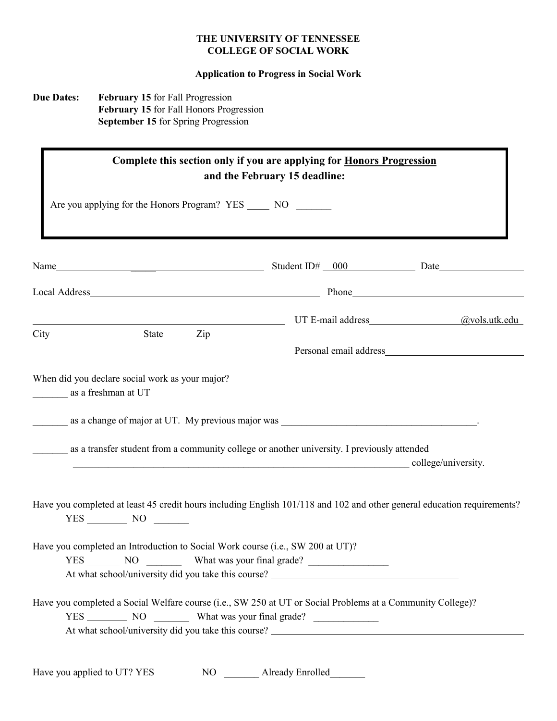### **THE UNIVERSITY OF TENNESSEE COLLEGE OF SOCIAL WORK**

### **Application to Progress in Social Work**

### **Due Dates: February 15** for Fall Progression **February 15** for Fall Honors Progression  **September 15** for Spring Progression

| Complete this section only if you are applying for <b>Honors Progression</b><br>and the February 15 deadline:                                                                                                                  |                     |  |
|--------------------------------------------------------------------------------------------------------------------------------------------------------------------------------------------------------------------------------|---------------------|--|
| Are you applying for the Honors Program? YES ______ NO _______                                                                                                                                                                 |                     |  |
| Name                                                                                                                                                                                                                           |                     |  |
| Local Address Phone Phone Phone Phone Phone Phone Phone Phone Phone Phone Phone Phone Phone Phone Phone Phone Phone Phone Phone Phone Phone Phone Phone Phone Phone Phone Phone Phone Phone Phone Phone Phone Phone Phone Phon |                     |  |
| City<br>State<br>Zip                                                                                                                                                                                                           |                     |  |
|                                                                                                                                                                                                                                |                     |  |
| as a transfer student from a community college or another university. I previously attended                                                                                                                                    | college/university. |  |
| Have you completed at least 45 credit hours including English 101/118 and 102 and other general education requirements?<br>$YES$ NO $\qquad$                                                                                   |                     |  |
| Have you completed an Introduction to Social Work course (i.e., SW 200 at UT)?<br>At what school/university did you take this course?                                                                                          |                     |  |
| Have you completed a Social Welfare course (i.e., SW 250 at UT or Social Problems at a Community College)?                                                                                                                     |                     |  |
| Have you applied to UT? YES _____________ NO ___________ Already Enrolled_                                                                                                                                                     |                     |  |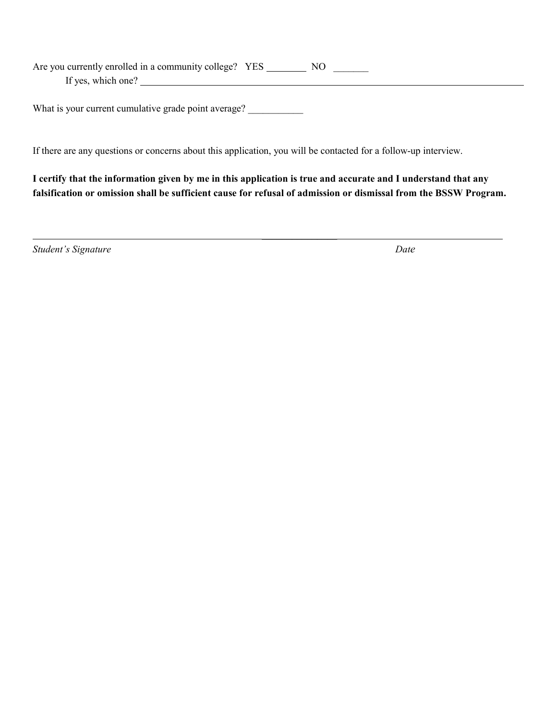Are you currently enrolled in a community college? YES \_\_\_\_\_\_\_\_\_\_ NO \_\_\_\_\_\_\_\_\_ If yes, which one?

What is your current cumulative grade point average?

\_\_\_\_\_\_\_\_\_\_\_\_\_\_\_

If there are any questions or concerns about this application, you will be contacted for a follow-up interview.

**I certify that the information given by me in this application is true and accurate and I understand that any falsification or omission shall be sufficient cause for refusal of admission or dismissal from the BSSW Program.** 

*Student's Signature Date*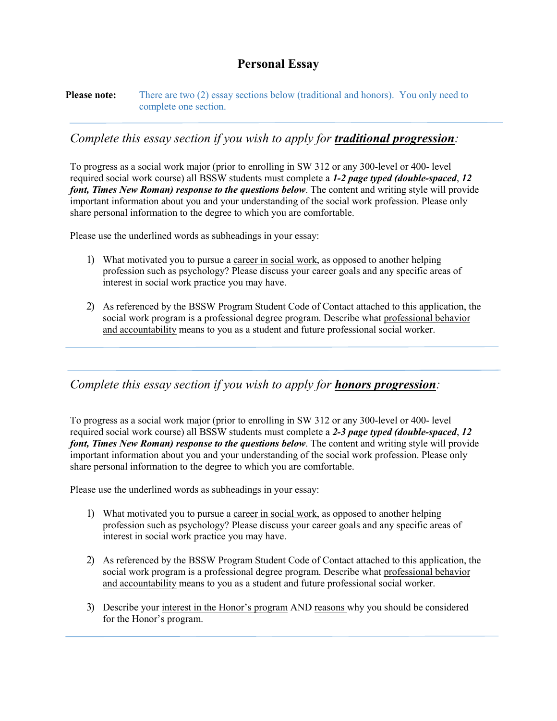# **Personal Essay**

**Please note:** There are two (2) essay sections below (traditional and honors). You only need to complete one section.

# *Complete this essay section if you wish to apply for traditional progression:*

To progress as a social work major (prior to enrolling in SW 312 or any 300-level or 400- level required social work course) all BSSW students must complete a *1-2 page typed (double-spaced*, *12 font, Times New Roman) response to the questions below*. The content and writing style will provide important information about you and your understanding of the social work profession. Please only share personal information to the degree to which you are comfortable.

Please use the underlined words as subheadings in your essay:

- 1) What motivated you to pursue a career in social work, as opposed to another helping profession such as psychology? Please discuss your career goals and any specific areas of interest in social work practice you may have.
- 2) As referenced by the BSSW Program Student Code of Contact attached to this application, the social work program is a professional degree program. Describe what professional behavior and accountability means to you as a student and future professional social worker.

### *Complete this essay section if you wish to apply for honors progression:*

To progress as a social work major (prior to enrolling in SW 312 or any 300-level or 400- level required social work course) all BSSW students must complete a *2-3 page typed (double-spaced*, *12 font, Times New Roman) response to the questions below*. The content and writing style will provide important information about you and your understanding of the social work profession. Please only share personal information to the degree to which you are comfortable.

Please use the underlined words as subheadings in your essay:

- 1) What motivated you to pursue a career in social work, as opposed to another helping profession such as psychology? Please discuss your career goals and any specific areas of interest in social work practice you may have.
- 2) As referenced by the BSSW Program Student Code of Contact attached to this application, the social work program is a professional degree program. Describe what professional behavior and accountability means to you as a student and future professional social worker.
- 3) Describe your interest in the Honor's program AND reasons why you should be considered for the Honor's program.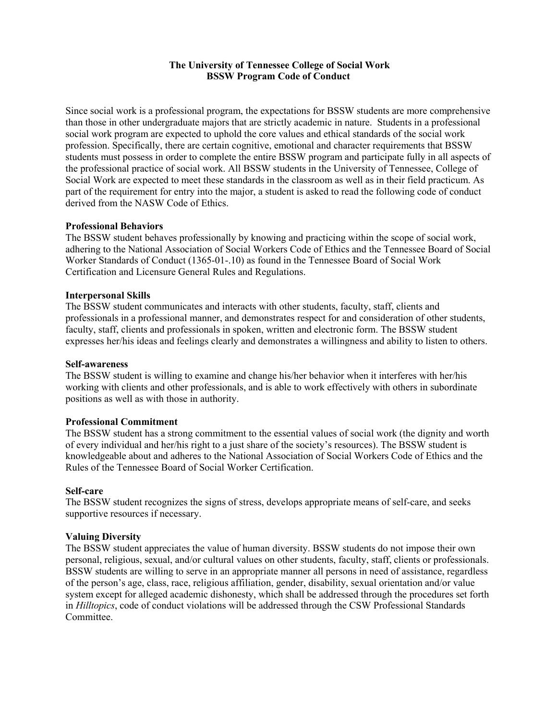### **The University of Tennessee College of Social Work BSSW Program Code of Conduct**

Since social work is a professional program, the expectations for BSSW students are more comprehensive than those in other undergraduate majors that are strictly academic in nature. Students in a professional social work program are expected to uphold the core values and ethical standards of the social work profession. Specifically, there are certain cognitive, emotional and character requirements that BSSW students must possess in order to complete the entire BSSW program and participate fully in all aspects of the professional practice of social work. All BSSW students in the University of Tennessee, College of Social Work are expected to meet these standards in the classroom as well as in their field practicum. As part of the requirement for entry into the major, a student is asked to read the following code of conduct derived from the NASW Code of Ethics.

### **Professional Behaviors**

The BSSW student behaves professionally by knowing and practicing within the scope of social work, adhering to the National Association of Social Workers Code of Ethics and the Tennessee Board of Social Worker Standards of Conduct (1365-01-.10) as found in the Tennessee Board of Social Work Certification and Licensure General Rules and Regulations.

#### **Interpersonal Skills**

The BSSW student communicates and interacts with other students, faculty, staff, clients and professionals in a professional manner, and demonstrates respect for and consideration of other students, faculty, staff, clients and professionals in spoken, written and electronic form. The BSSW student expresses her/his ideas and feelings clearly and demonstrates a willingness and ability to listen to others.

#### **Self-awareness**

The BSSW student is willing to examine and change his/her behavior when it interferes with her/his working with clients and other professionals, and is able to work effectively with others in subordinate positions as well as with those in authority.

#### **Professional Commitment**

The BSSW student has a strong commitment to the essential values of social work (the dignity and worth of every individual and her/his right to a just share of the society's resources). The BSSW student is knowledgeable about and adheres to the National Association of Social Workers Code of Ethics and the Rules of the Tennessee Board of Social Worker Certification.

#### **Self-care**

The BSSW student recognizes the signs of stress, develops appropriate means of self-care, and seeks supportive resources if necessary.

#### **Valuing Diversity**

The BSSW student appreciates the value of human diversity. BSSW students do not impose their own personal, religious, sexual, and/or cultural values on other students, faculty, staff, clients or professionals. BSSW students are willing to serve in an appropriate manner all persons in need of assistance, regardless of the person's age, class, race, religious affiliation, gender, disability, sexual orientation and/or value system except for alleged academic dishonesty, which shall be addressed through the procedures set forth in *Hilltopics*, code of conduct violations will be addressed through the CSW Professional Standards Committee.